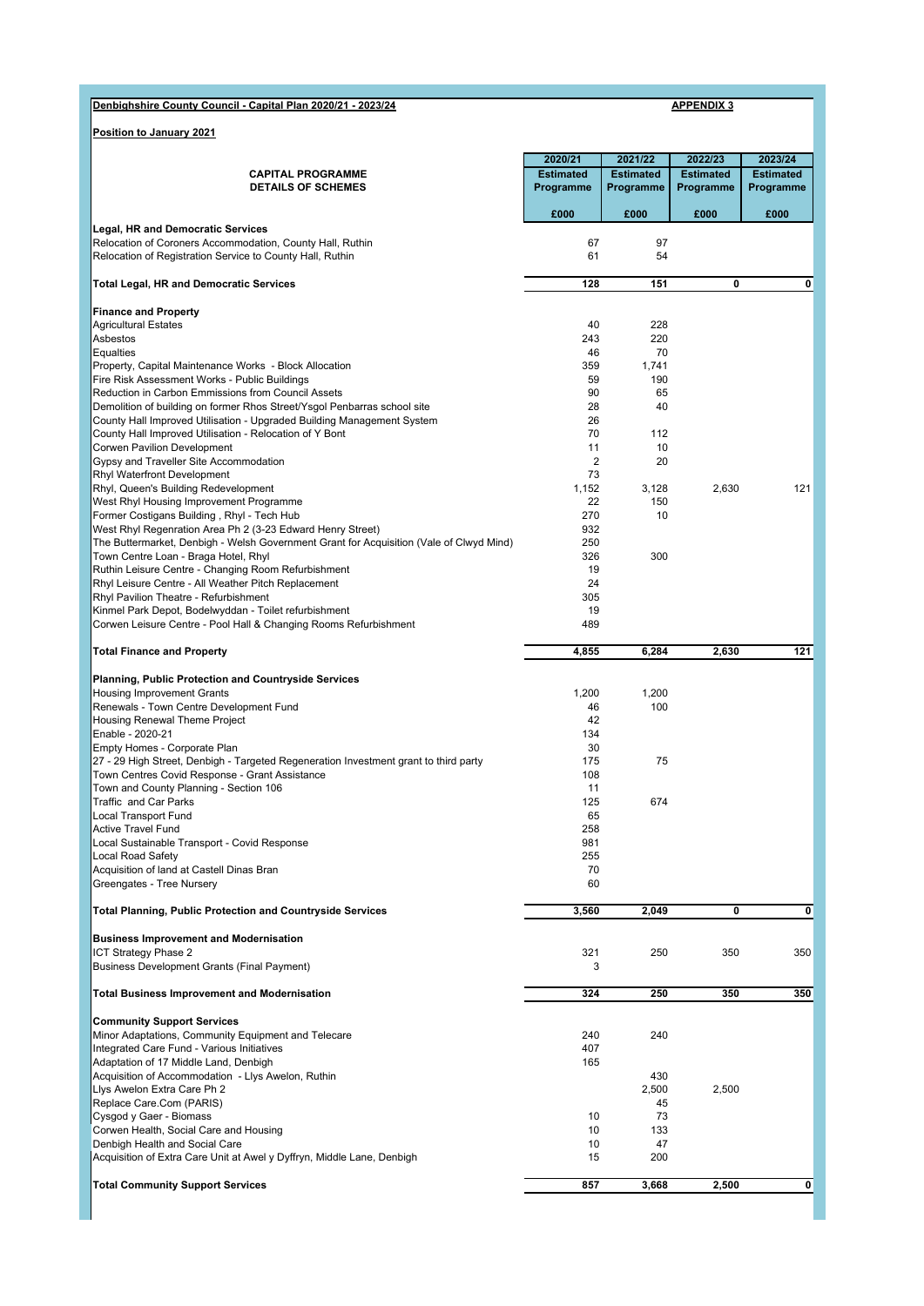## **Denbighshire County Council - Capital Plan 2020/21 - 2023/24 APPENDIX 3**

**Position to January 2021**

|                                                                                                                                 | 2020/21          | 2021/22          | 2022/23          | 2023/24          |
|---------------------------------------------------------------------------------------------------------------------------------|------------------|------------------|------------------|------------------|
| <b>CAPITAL PROGRAMME</b>                                                                                                        | <b>Estimated</b> | <b>Estimated</b> | <b>Estimated</b> | <b>Estimated</b> |
| <b>DETAILS OF SCHEMES</b>                                                                                                       | Programme        | Programme        | Programme        | Programme        |
|                                                                                                                                 |                  |                  |                  |                  |
| <b>Legal, HR and Democratic Services</b>                                                                                        | £000             | £000             | £000             | £000             |
| Relocation of Coroners Accommodation, County Hall, Ruthin                                                                       | 67               | 97               |                  |                  |
| Relocation of Registration Service to County Hall, Ruthin                                                                       | 61               | 54               |                  |                  |
|                                                                                                                                 |                  |                  |                  |                  |
| <b>Total Legal, HR and Democratic Services</b>                                                                                  | 128              | 151              | 0                | 0                |
|                                                                                                                                 |                  |                  |                  |                  |
| <b>Finance and Property</b>                                                                                                     |                  |                  |                  |                  |
| <b>Agricultural Estates</b><br>Asbestos                                                                                         | 40<br>243        | 228<br>220       |                  |                  |
| Equalties                                                                                                                       | 46               | 70               |                  |                  |
| Property, Capital Maintenance Works - Block Allocation                                                                          | 359              | 1,741            |                  |                  |
| Fire Risk Assessment Works - Public Buildings                                                                                   | 59               | 190              |                  |                  |
| <b>Reduction in Carbon Emmissions from Council Assets</b>                                                                       | 90               | 65               |                  |                  |
| Demolition of building on former Rhos Street/Ysgol Penbarras school site                                                        | 28               | 40               |                  |                  |
| County Hall Improved Utilisation - Upgraded Building Management System                                                          | 26               |                  |                  |                  |
| County Hall Improved Utilisation - Relocation of Y Bont<br>Corwen Pavilion Development                                          | 70<br>11         | 112<br>10        |                  |                  |
| Gypsy and Traveller Site Accommodation                                                                                          | $\overline{2}$   | 20               |                  |                  |
| <b>Rhyl Waterfront Development</b>                                                                                              | 73               |                  |                  |                  |
| Rhyl, Queen's Building Redevelopment                                                                                            | 1,152            | 3,128            | 2,630            | 121              |
| West Rhyl Housing Improvement Programme                                                                                         | 22               | 150              |                  |                  |
| Former Costigans Building, Rhyl - Tech Hub                                                                                      | 270              | 10               |                  |                  |
| West Rhyl Regenration Area Ph 2 (3-23 Edward Henry Street)                                                                      | 932              |                  |                  |                  |
| The Buttermarket, Denbigh - Welsh Government Grant for Acquisition (Vale of Clwyd Mind)<br>Town Centre Loan - Braga Hotel, Rhyl | 250<br>326       | 300              |                  |                  |
| Ruthin Leisure Centre - Changing Room Refurbishment                                                                             | 19               |                  |                  |                  |
| Rhyl Leisure Centre - All Weather Pitch Replacement                                                                             | 24               |                  |                  |                  |
| Rhyl Pavilion Theatre - Refurbishment                                                                                           | 305              |                  |                  |                  |
| Kinmel Park Depot, Bodelwyddan - Toilet refurbishment                                                                           | 19               |                  |                  |                  |
| Corwen Leisure Centre - Pool Hall & Changing Rooms Refurbishment                                                                | 489              |                  |                  |                  |
|                                                                                                                                 |                  |                  |                  |                  |
| <b>Total Finance and Property</b>                                                                                               | 4,855            | 6,284            | 2,630            | 121              |
| <b>Planning, Public Protection and Countryside Services</b>                                                                     |                  |                  |                  |                  |
| <b>Housing Improvement Grants</b>                                                                                               | 1,200            | 1,200            |                  |                  |
| Renewals - Town Centre Development Fund                                                                                         | 46               | 100              |                  |                  |
| Housing Renewal Theme Project                                                                                                   | 42               |                  |                  |                  |
| Enable - 2020-21                                                                                                                | 134              |                  |                  |                  |
| Empty Homes - Corporate Plan<br>27 - 29 High Street, Denbigh - Targeted Regeneration Investment grant to third party            | 30<br>175        | 75               |                  |                  |
| Town Centres Covid Response - Grant Assistance                                                                                  | 108              |                  |                  |                  |
| Town and County Planning - Section 106                                                                                          | 11               |                  |                  |                  |
| Traffic and Car Parks                                                                                                           | 125              | 674              |                  |                  |
| Local Transport Fund                                                                                                            | 65               |                  |                  |                  |
| <b>Active Travel Fund</b>                                                                                                       | 258              |                  |                  |                  |
| Local Sustainable Transport - Covid Response                                                                                    | 981              |                  |                  |                  |
| <b>Local Road Safety</b>                                                                                                        | 255              |                  |                  |                  |
| Acquisition of land at Castell Dinas Bran<br>Greengates - Tree Nursery                                                          | 70<br>60         |                  |                  |                  |
|                                                                                                                                 |                  |                  |                  |                  |
| <b>Total Planning, Public Protection and Countryside Services</b>                                                               | 3,560            | 2,049            | 0                | 0                |
|                                                                                                                                 |                  |                  |                  |                  |
| <b>Business Improvement and Modernisation</b>                                                                                   |                  |                  |                  |                  |
| ICT Strategy Phase 2                                                                                                            | 321              | 250              | 350              | 350              |
| <b>Business Development Grants (Final Payment)</b>                                                                              | 3                |                  |                  |                  |
| <b>Total Business Improvement and Modernisation</b>                                                                             | 324              | 250              | 350              | 350              |
|                                                                                                                                 |                  |                  |                  |                  |
| <b>Community Support Services</b>                                                                                               |                  |                  |                  |                  |
| Minor Adaptations, Community Equipment and Telecare                                                                             | 240              | 240              |                  |                  |
| Integrated Care Fund - Various Initiatives                                                                                      | 407              |                  |                  |                  |
| Adaptation of 17 Middle Land, Denbigh                                                                                           | 165              |                  |                  |                  |
| Acquisition of Accommodation - Llys Awelon, Ruthin                                                                              |                  | 430              |                  |                  |
| Llys Awelon Extra Care Ph 2<br>Replace Care.Com (PARIS)                                                                         |                  | 2,500<br>45      | 2,500            |                  |
| Cysgod y Gaer - Biomass                                                                                                         | 10               | 73               |                  |                  |
| Corwen Health, Social Care and Housing                                                                                          | 10               | 133              |                  |                  |
| Denbigh Health and Social Care                                                                                                  | 10               | 47               |                  |                  |
| Acquisition of Extra Care Unit at Awel y Dyffryn, Middle Lane, Denbigh                                                          | 15               | 200              |                  |                  |
|                                                                                                                                 |                  |                  |                  |                  |
| <b>Total Community Support Services</b>                                                                                         | 857              | 3,668            | 2,500            | 0                |